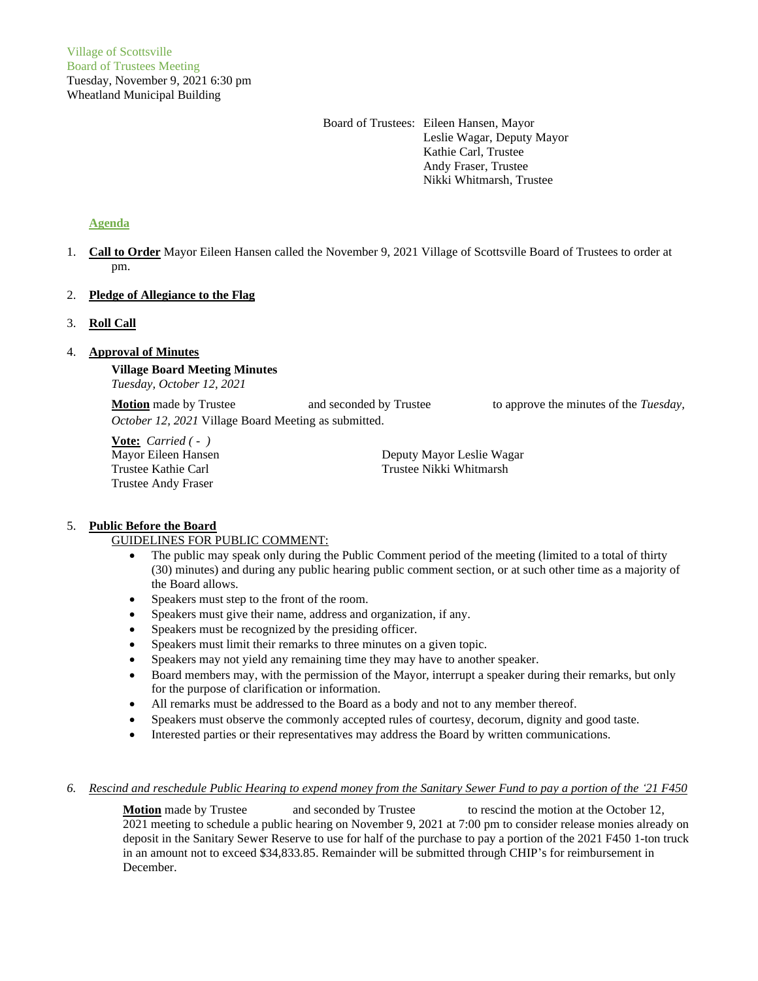Board of Trustees: Eileen Hansen, Mayor Leslie Wagar, Deputy Mayor Kathie Carl, Trustee Andy Fraser, Trustee Nikki Whitmarsh, Trustee

# **Agenda**

1. **Call to Order** Mayor Eileen Hansen called the November 9, 2021 Village of Scottsville Board of Trustees to order at pm.

## 2. **Pledge of Allegiance to the Flag**

## 3. **Roll Call**

## 4. **Approval of Minutes**

**Village Board Meeting Minutes** *Tuesday, October 12, 2021*

**Motion** made by Trustee and seconded by Trustee to approve the minutes of the *Tuesday*, *October 12, 2021* Village Board Meeting as submitted.

**Vote:** *Carried ( - )* Trustee Andy Fraser

Mayor Eileen Hansen Deputy Mayor Leslie Wagar Trustee Kathie Carl Trustee Nikki Whitmarsh

### 5. **Public Before the Board**

# GUIDELINES FOR PUBLIC COMMENT:

- The public may speak only during the Public Comment period of the meeting (limited to a total of thirty (30) minutes) and during any public hearing public comment section, or at such other time as a majority of the Board allows.
- Speakers must step to the front of the room.
- Speakers must give their name, address and organization, if any.
- Speakers must be recognized by the presiding officer.
- Speakers must limit their remarks to three minutes on a given topic.
- Speakers may not yield any remaining time they may have to another speaker.
- Board members may, with the permission of the Mayor, interrupt a speaker during their remarks, but only for the purpose of clarification or information.
- All remarks must be addressed to the Board as a body and not to any member thereof.
- Speakers must observe the commonly accepted rules of courtesy, decorum, dignity and good taste.
- Interested parties or their representatives may address the Board by written communications.

### *6. Rescind and reschedule Public Hearing to expend money from the Sanitary Sewer Fund to pay a portion of the '21 F450*

**Motion** made by Trustee and seconded by Trustee to rescind the motion at the October 12, 2021 meeting to schedule a public hearing on November 9, 2021 at 7:00 pm to consider release monies already on deposit in the Sanitary Sewer Reserve to use for half of the purchase to pay a portion of the 2021 F450 1-ton truck in an amount not to exceed \$34,833.85. Remainder will be submitted through CHIP's for reimbursement in December.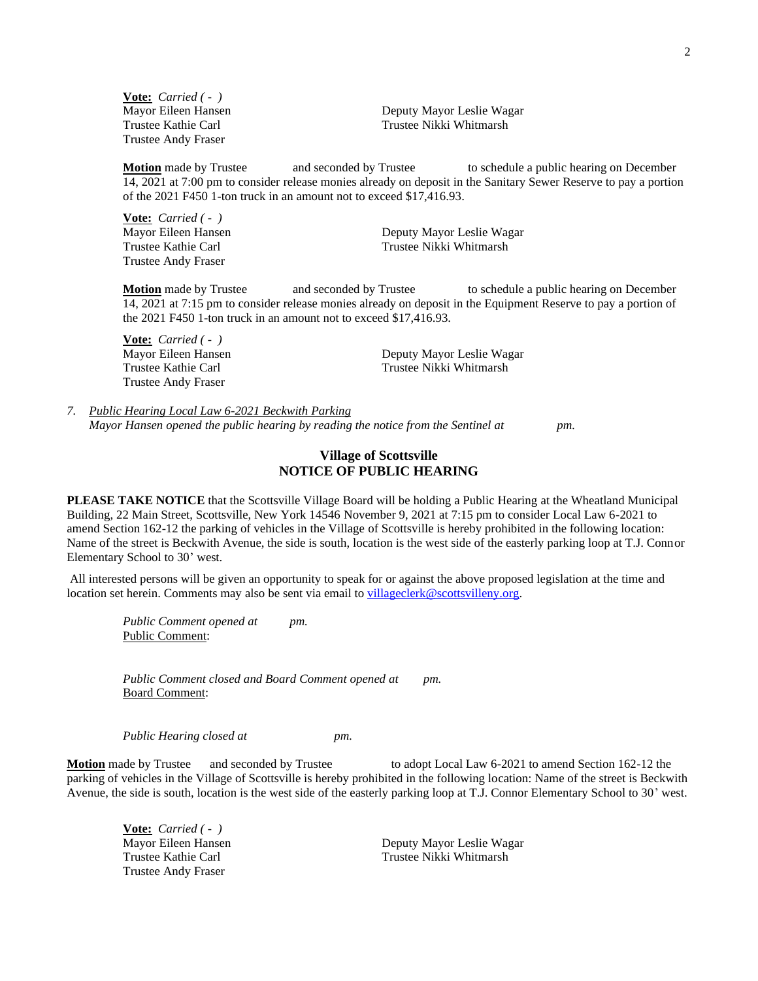**Vote:** *Carried ( - )* Trustee Andy Fraser

Mayor Eileen Hansen Deputy Mayor Leslie Wagar Trustee Kathie Carl Trustee Nikki Whitmarsh

**Motion** made by Trustee and seconded by Trustee to schedule a public hearing on December 14, 2021 at 7:00 pm to consider release monies already on deposit in the Sanitary Sewer Reserve to pay a portion of the 2021 F450 1-ton truck in an amount not to exceed \$17,416.93.

**Vote:** *Carried ( - )* Trustee Andy Fraser

Mayor Eileen Hansen Deputy Mayor Leslie Wagar Trustee Kathie Carl Trustee Nikki Whitmarsh

**Motion** made by Trustee and seconded by Trustee to schedule a public hearing on December 14, 2021 at 7:15 pm to consider release monies already on deposit in the Equipment Reserve to pay a portion of the 2021 F450 1-ton truck in an amount not to exceed \$17,416.93.

**Vote:** *Carried ( - )* Mayor Eileen Hansen Deputy Mayor Leslie Wagar Trustee Kathie Carl Trustee Nikki Whitmarsh Trustee Andy Fraser

*7. Public Hearing Local Law 6-2021 Beckwith Parking Mayor Hansen opened the public hearing by reading the notice from the Sentinel at pm.*

# **Village of Scottsville NOTICE OF PUBLIC HEARING**

**PLEASE TAKE NOTICE** that the Scottsville Village Board will be holding a Public Hearing at the Wheatland Municipal Building, 22 Main Street, Scottsville, New York 14546 November 9, 2021 at 7:15 pm to consider Local Law 6-2021 to amend Section 162-12 the parking of vehicles in the Village of Scottsville is hereby prohibited in the following location: Name of the street is Beckwith Avenue, the side is south, location is the west side of the easterly parking loop at T.J. Connor Elementary School to 30' west.

All interested persons will be given an opportunity to speak for or against the above proposed legislation at the time and location set herein. Comments may also be sent via email to [villageclerk@scottsvilleny.org.](mailto:villageclerk@scottsvilleny.org)

*Public Comment opened at pm.* Public Comment:

*Public Comment closed and Board Comment opened at pm.* Board Comment:

*Public Hearing closed at pm.*

**Motion** made by Trustee and seconded by Trustee to adopt Local Law 6-2021 to amend Section 162-12 the parking of vehicles in the Village of Scottsville is hereby prohibited in the following location: Name of the street is Beckwith Avenue, the side is south, location is the west side of the easterly parking loop at T.J. Connor Elementary School to 30' west.

**Vote:** *Carried ( - )* Trustee Andy Fraser

Mayor Eileen Hansen **Deputy Mayor Leslie Wagar** Trustee Kathie Carl Trustee Nikki Whitmarsh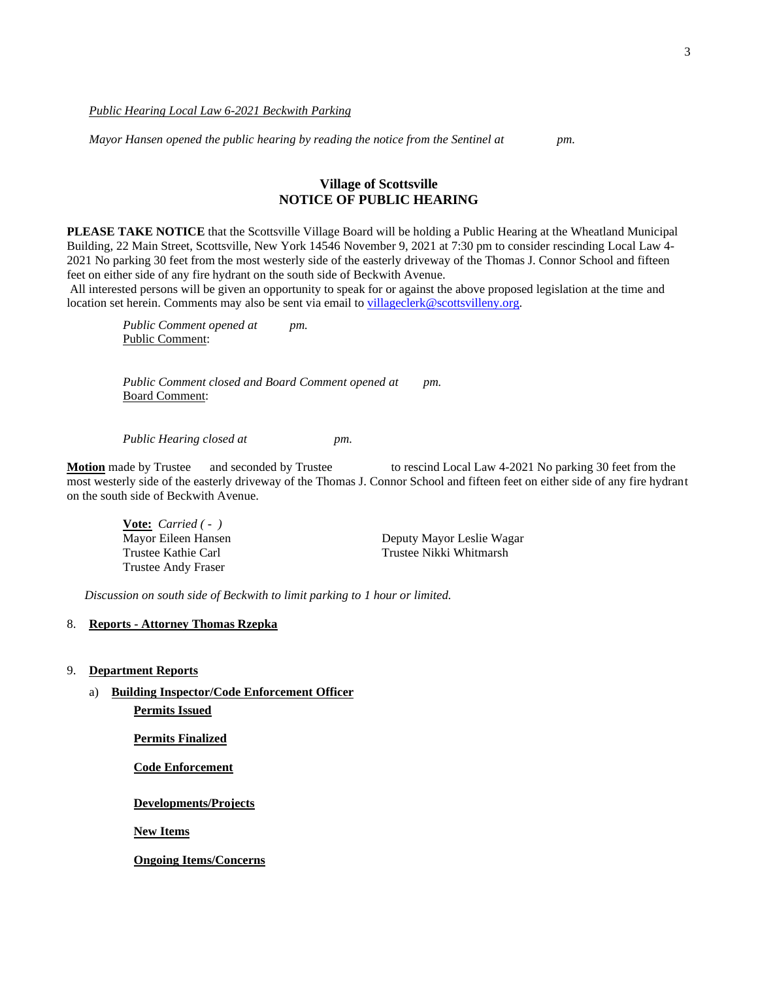*Public Hearing Local Law 6-2021 Beckwith Parking*

*Mayor Hansen opened the public hearing by reading the notice from the Sentinel at pm.*

# **Village of Scottsville NOTICE OF PUBLIC HEARING**

**PLEASE TAKE NOTICE** that the Scottsville Village Board will be holding a Public Hearing at the Wheatland Municipal Building, 22 Main Street, Scottsville, New York 14546 November 9, 2021 at 7:30 pm to consider rescinding Local Law 4- 2021 No parking 30 feet from the most westerly side of the easterly driveway of the Thomas J. Connor School and fifteen feet on either side of any fire hydrant on the south side of Beckwith Avenue.

All interested persons will be given an opportunity to speak for or against the above proposed legislation at the time and location set herein. Comments may also be sent via email to [villageclerk@scottsvilleny.org.](mailto:villageclerk@scottsvilleny.org)

*Public Comment opened at pm.* Public Comment:

*Public Comment closed and Board Comment opened at pm.* Board Comment:

*Public Hearing closed at pm.*

**Motion** made by Trustee and seconded by Trustee to rescind Local Law 4-2021 No parking 30 feet from the most westerly side of the easterly driveway of the Thomas J. Connor School and fifteen feet on either side of any fire hydrant on the south side of Beckwith Avenue.

**Vote:** *Carried ( - )* Trustee Andy Fraser

Mayor Eileen Hansen **Deputy Mayor Leslie Wagar** Trustee Kathie Carl Trustee Nikki Whitmarsh

*Discussion on south side of Beckwith to limit parking to 1 hour or limited.*

### 8. **Reports - Attorney Thomas Rzepka**

- 9. **Department Reports**
	- a) **Building Inspector/Code Enforcement Officer**

**Permits Issued**

**Permits Finalized**

**Code Enforcement**

**Developments/Projects**

**New Items**

**Ongoing Items/Concerns**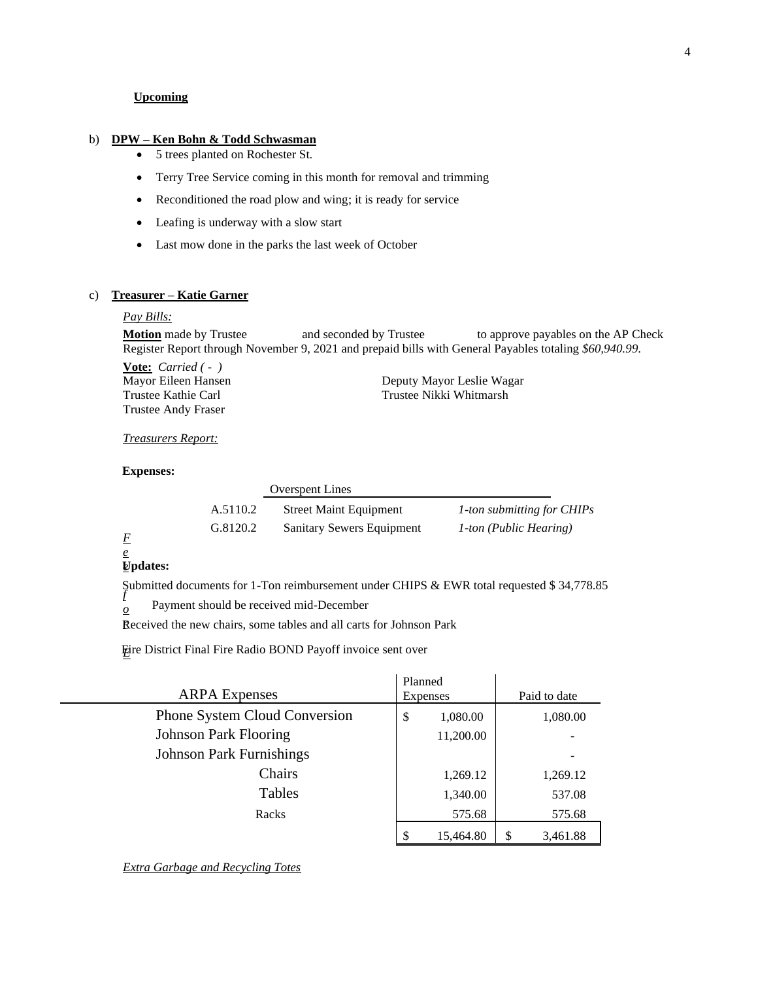### **Upcoming**

#### b) **DPW – Ken Bohn & Todd Schwasman**

- 5 trees planted on Rochester St.
- Terry Tree Service coming in this month for removal and trimming
- Reconditioned the road plow and wing; it is ready for service
- Leafing is underway with a slow start
- Last mow done in the parks the last week of October

## c) **Treasurer – Katie Garner**

#### *Pay Bills:*

**Motion** made by Trustee and seconded by Trustee to approve payables on the AP Check Register Report through November 9, 2021 and prepaid bills with General Payables totaling *\$60,940.99*.

**Vote:** *Carried ( - )* Trustee Andy Fraser

Mayor Eileen Hansen Deputy Mayor Leslie Wagar Trustee Kathie Carl Trustee Nikki Whitmarsh

#### *Treasurers Report:*

## **Expenses:**

|   |          | <b>Overspent Lines</b>           |                               |
|---|----------|----------------------------------|-------------------------------|
|   | A.5110.2 | <b>Street Maint Equipment</b>    | 1-ton submitting for CHIPs    |
| F | G.8120.2 | <b>Sanitary Sewers Equipment</b> | <i>1-ton (Public Hearing)</i> |

# *e*

### *e* **Updates:**

*f* Submitted documents for 1-Ton reimbursement under CHIPS & EWR total requested \$ 34,778.85

*o* Payment should be received mid-December

Received the new chairs, some tables and all carts for Johnson Park

*E* Fire District Final Fire Radio BOND Payoff invoice sent over

| <b>ARPA</b> Expenses            | Planned<br>Expenses | Paid to date |
|---------------------------------|---------------------|--------------|
| Phone System Cloud Conversion   | \$<br>1,080.00      | 1,080.00     |
| <b>Johnson Park Flooring</b>    | 11,200.00           |              |
| <b>Johnson Park Furnishings</b> |                     |              |
| Chairs                          | 1,269.12            | 1,269.12     |
| Tables                          | 1,340.00            | 537.08       |
| Racks                           | 575.68              | 575.68       |
|                                 | \$<br>15,464.80     | 3,461.88     |

*Extra Garbage and Recycling Totes*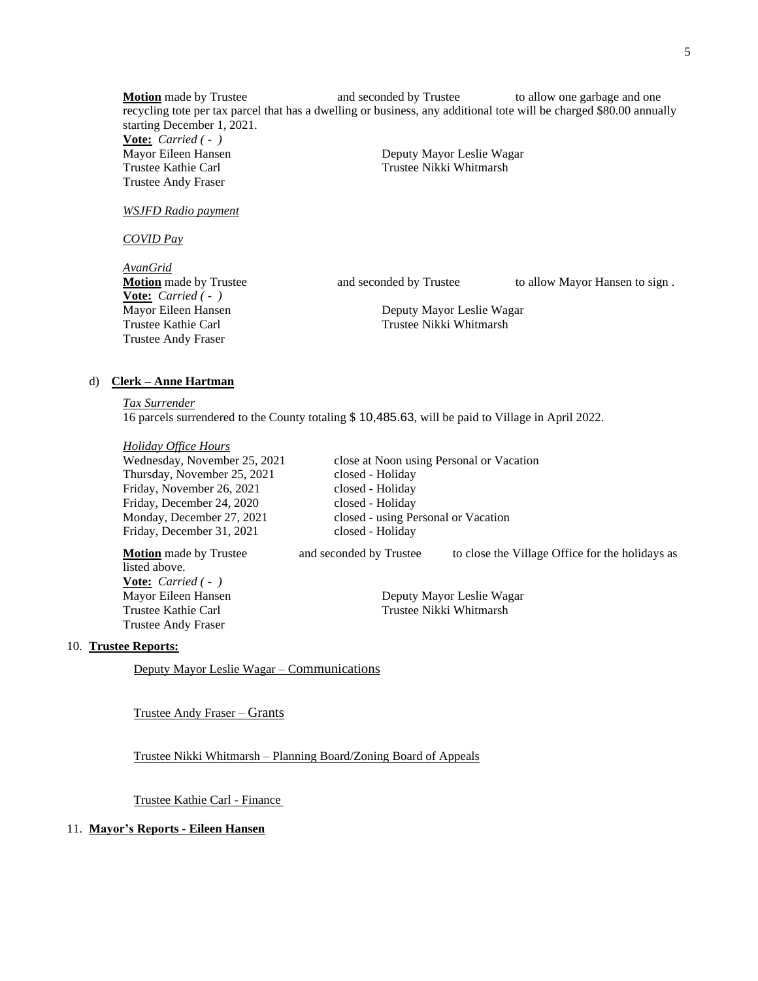**Motion** made by Trustee **and seconded by Trustee** to allow one garbage and one recycling tote per tax parcel that has a dwelling or business, any additional tote will be charged \$80.00 annually starting December 1, 2021. **Vote:** *Carried ( - )* Mayor Eileen Hansen **Deputy Mayor Leslie Wagar** Trustee Kathie Carl Trustee Nikki Whitmarsh

*WSJFD Radio payment*

Trustee Andy Fraser

*COVID Pay*

*AvanGrid* **Vote:** *Carried ( - )* Trustee Andy Fraser

**Motion** made by Trustee **and seconded by Trustee** to allow Mayor Hansen to sign .

Mayor Eileen Hansen Deputy Mayor Leslie Wagar Trustee Kathie Carl Trustee Nikki Whitmarsh

#### d) **Clerk – Anne Hartman**

*Tax Surrender*

16 parcels surrendered to the County totaling \$ 10,485.63, will be paid to Village in April 2022.

*Holiday Office Hours*

Wednesday, November 25, 2021 close at Noon using Personal or Vacation Thursday, November 25, 2021 closed - Holiday Friday, November 26, 2021 closed - Holiday Friday, December 24, 2020 closed - Holiday Friday, December 31, 2021 closed - Holiday

listed above. **Vote:** *Carried ( - )* Trustee Andy Fraser

Monday, December 27, 2021 closed - using Personal or Vacation

**Motion** made by Trustee and seconded by Trustee to close the Village Office for the holidays as

Mayor Eileen Hansen **Deputy Mayor Leslie Wagar** Trustee Kathie Carl Trustee Nikki Whitmarsh

10. **Trustee Reports:**

Deputy Mayor Leslie Wagar – Communications

Trustee Andy Fraser – Grants

Trustee Nikki Whitmarsh – Planning Board/Zoning Board of Appeals

Trustee Kathie Carl - Finance

### 11. **Mayor's Reports - Eileen Hansen**